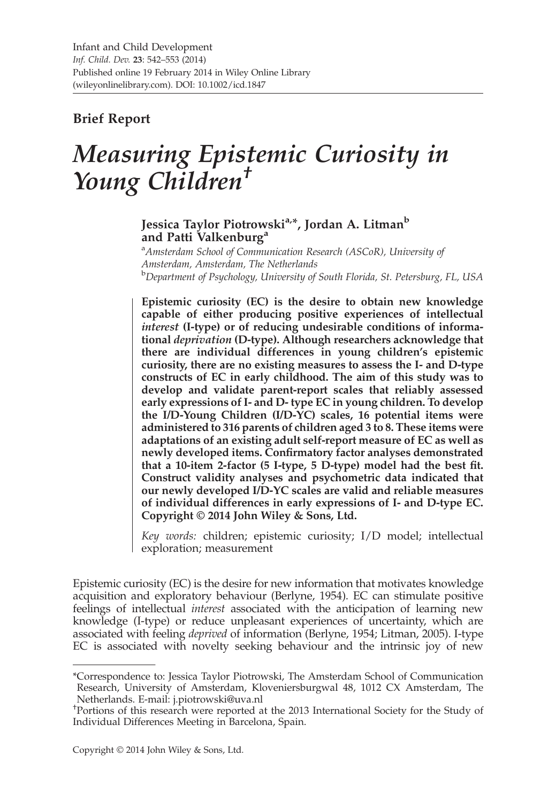# Brief Report

# Measuring Epistemic Curiosity in Young Children†

# Jessica Taylor Piotrowski<sup>a,\*</sup>, Jordan A. Litman<sup>b</sup> and Patti Valkenburg<sup>a</sup>

<sup>a</sup> Amsterdam School of Communication Research (ASCoR), University of Amsterdam, Amsterdam, The Netherlands <sup>b</sup>Department of Psychology, University of South Florida, St. Petersburg, FL, USA

Epistemic curiosity (EC) is the desire to obtain new knowledge capable of either producing positive experiences of intellectual interest (I-type) or of reducing undesirable conditions of informational deprivation (D-type). Although researchers acknowledge that there are individual differences in young children's epistemic curiosity, there are no existing measures to assess the I- and D-type constructs of EC in early childhood. The aim of this study was to develop and validate parent-report scales that reliably assessed early expressions of I- and D- type EC in young children. To develop the I/D-Young Children (I/D-YC) scales, 16 potential items were administered to 316 parents of children aged 3 to 8. These items were adaptations of an existing adult self-report measure of EC as well as newly developed items. Confirmatory factor analyses demonstrated that a 10-item 2-factor (5 I-type, 5 D-type) model had the best fit. Construct validity analyses and psychometric data indicated that our newly developed I/D-YC scales are valid and reliable measures of individual differences in early expressions of I- and D-type EC. Copyright © 2014 John Wiley & Sons, Ltd.

Key words: children; epistemic curiosity; I/D model; intellectual exploration; measurement

Epistemic curiosity (EC) is the desire for new information that motivates knowledge acquisition and exploratory behaviour (Berlyne, 1954). EC can stimulate positive feelings of intellectual interest associated with the anticipation of learning new knowledge (I-type) or reduce unpleasant experiences of uncertainty, which are associated with feeling deprived of information (Berlyne, 1954; Litman, 2005). I-type EC is associated with novelty seeking behaviour and the intrinsic joy of new

<sup>\*</sup>Correspondence to: Jessica Taylor Piotrowski, The Amsterdam School of Communication Research, University of Amsterdam, Kloveniersburgwal 48, 1012 CX Amsterdam, The Netherlands. E-mail: j.piotrowski@uva.nl

<sup>†</sup> Portions of this research were reported at the 2013 International Society for the Study of Individual Differences Meeting in Barcelona, Spain.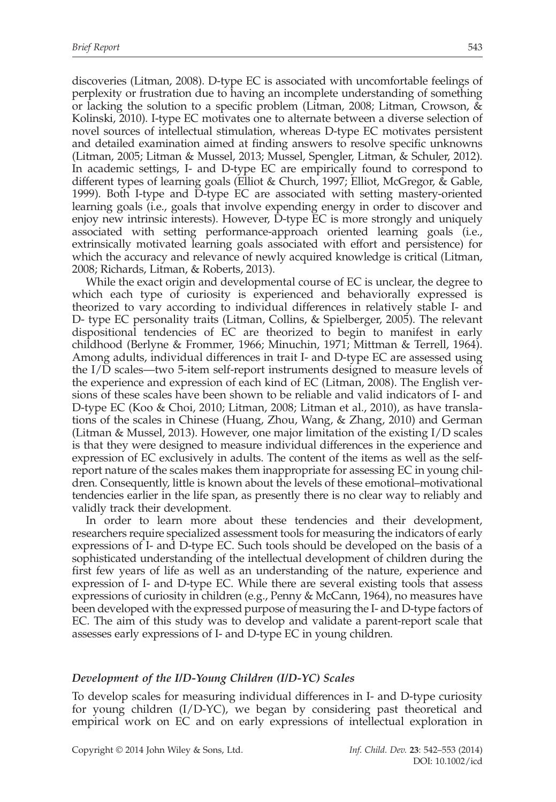discoveries (Litman, 2008). D-type EC is associated with uncomfortable feelings of perplexity or frustration due to having an incomplete understanding of something or lacking the solution to a specific problem (Litman, 2008; Litman, Crowson, & Kolinski, 2010). I-type EC motivates one to alternate between a diverse selection of novel sources of intellectual stimulation, whereas D-type EC motivates persistent and detailed examination aimed at finding answers to resolve specific unknowns (Litman, 2005; Litman & Mussel, 2013; Mussel, Spengler, Litman, & Schuler, 2012). In academic settings, I- and D-type EC are empirically found to correspond to different types of learning goals (Elliot & Church, 1997; Elliot, McGregor, & Gable, 1999). Both I-type and D-type EC are associated with setting mastery-oriented learning goals (i.e., goals that involve expending energy in order to discover and enjoy new intrinsic interests). However, D-type EC is more strongly and uniquely associated with setting performance-approach oriented learning goals (i.e., extrinsically motivated learning goals associated with effort and persistence) for which the accuracy and relevance of newly acquired knowledge is critical (Litman, 2008; Richards, Litman, & Roberts, 2013).

While the exact origin and developmental course of EC is unclear, the degree to which each type of curiosity is experienced and behaviorally expressed is theorized to vary according to individual differences in relatively stable I- and D- type EC personality traits (Litman, Collins, & Spielberger, 2005). The relevant dispositional tendencies of EC are theorized to begin to manifest in early childhood (Berlyne & Frommer, 1966; Minuchin, 1971; Mittman & Terrell, 1964). Among adults, individual differences in trait I- and D-type EC are assessed using the I/D scales—two 5-item self-report instruments designed to measure levels of the experience and expression of each kind of EC (Litman, 2008). The English versions of these scales have been shown to be reliable and valid indicators of I- and D-type EC (Koo & Choi, 2010; Litman, 2008; Litman et al., 2010), as have translations of the scales in Chinese (Huang, Zhou, Wang, & Zhang, 2010) and German (Litman & Mussel, 2013). However, one major limitation of the existing I/D scales is that they were designed to measure individual differences in the experience and expression of EC exclusively in adults. The content of the items as well as the selfreport nature of the scales makes them inappropriate for assessing EC in young children. Consequently, little is known about the levels of these emotional–motivational tendencies earlier in the life span, as presently there is no clear way to reliably and validly track their development.

In order to learn more about these tendencies and their development, researchers require specialized assessment tools for measuring the indicators of early expressions of I- and D-type EC. Such tools should be developed on the basis of a sophisticated understanding of the intellectual development of children during the first few years of life as well as an understanding of the nature, experience and expression of I- and D-type EC. While there are several existing tools that assess expressions of curiosity in children (e.g., Penny & McCann, 1964), no measures have been developed with the expressed purpose of measuring the I- and D-type factors of EC. The aim of this study was to develop and validate a parent-report scale that assesses early expressions of I- and D-type EC in young children.

#### Development of the I/D-Young Children (I/D-YC) Scales

To develop scales for measuring individual differences in I- and D-type curiosity for young children  $(I/D$ -YC), we began by considering past theoretical and empirical work on EC and on early expressions of intellectual exploration in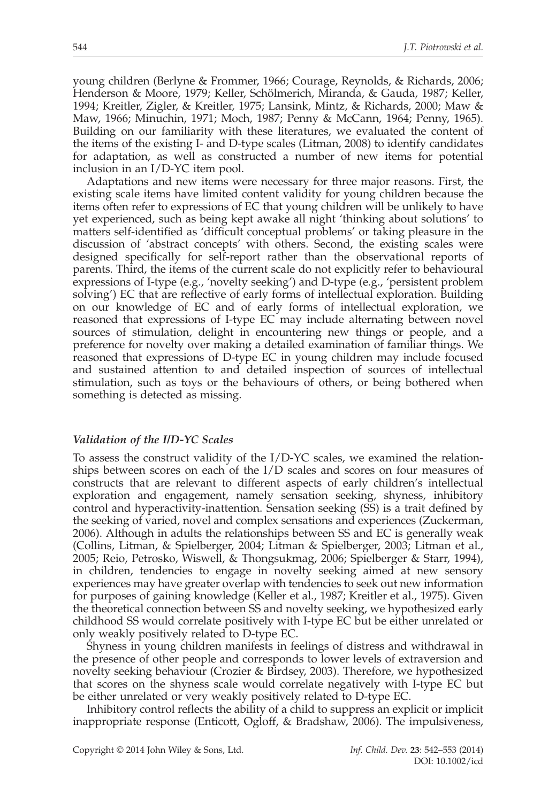young children (Berlyne & Frommer, 1966; Courage, Reynolds, & Richards, 2006; Henderson & Moore, 1979; Keller, Schölmerich, Miranda, & Gauda, 1987; Keller, 1994; Kreitler, Zigler, & Kreitler, 1975; Lansink, Mintz, & Richards, 2000; Maw & Maw, 1966; Minuchin, 1971; Moch, 1987; Penny & McCann, 1964; Penny, 1965). Building on our familiarity with these literatures, we evaluated the content of the items of the existing I- and D-type scales (Litman, 2008) to identify candidates for adaptation, as well as constructed a number of new items for potential inclusion in an I/D-YC item pool.

Adaptations and new items were necessary for three major reasons. First, the existing scale items have limited content validity for young children because the items often refer to expressions of EC that young children will be unlikely to have yet experienced, such as being kept awake all night 'thinking about solutions' to matters self-identified as 'difficult conceptual problems' or taking pleasure in the discussion of 'abstract concepts' with others. Second, the existing scales were designed specifically for self-report rather than the observational reports of parents. Third, the items of the current scale do not explicitly refer to behavioural expressions of I-type (e.g., 'novelty seeking') and D-type (e.g., 'persistent problem solving') EC that are reflective of early forms of intellectual exploration. Building on our knowledge of EC and of early forms of intellectual exploration, we reasoned that expressions of I-type EC may include alternating between novel sources of stimulation, delight in encountering new things or people, and a preference for novelty over making a detailed examination of familiar things. We reasoned that expressions of D-type EC in young children may include focused and sustained attention to and detailed inspection of sources of intellectual stimulation, such as toys or the behaviours of others, or being bothered when something is detected as missing.

# Validation of the I/D-YC Scales

To assess the construct validity of the I/D-YC scales, we examined the relationships between scores on each of the I/D scales and scores on four measures of constructs that are relevant to different aspects of early children's intellectual exploration and engagement, namely sensation seeking, shyness, inhibitory control and hyperactivity-inattention. Sensation seeking (SS) is a trait defined by the seeking of varied, novel and complex sensations and experiences (Zuckerman, 2006). Although in adults the relationships between SS and EC is generally weak (Collins, Litman, & Spielberger, 2004; Litman & Spielberger, 2003; Litman et al., 2005; Reio, Petrosko, Wiswell, & Thongsukmag, 2006; Spielberger & Starr, 1994), in children, tendencies to engage in novelty seeking aimed at new sensory experiences may have greater overlap with tendencies to seek out new information for purposes of gaining knowledge (Keller et al., 1987; Kreitler et al., 1975). Given the theoretical connection between SS and novelty seeking, we hypothesized early childhood SS would correlate positively with I-type EC but be either unrelated or only weakly positively related to D-type EC.

Shyness in young children manifests in feelings of distress and withdrawal in the presence of other people and corresponds to lower levels of extraversion and novelty seeking behaviour (Crozier & Birdsey, 2003). Therefore, we hypothesized that scores on the shyness scale would correlate negatively with I-type EC but be either unrelated or very weakly positively related to D-type EC.

Inhibitory control reflects the ability of a child to suppress an explicit or implicit inappropriate response (Enticott, Ogloff, & Bradshaw, 2006). The impulsiveness,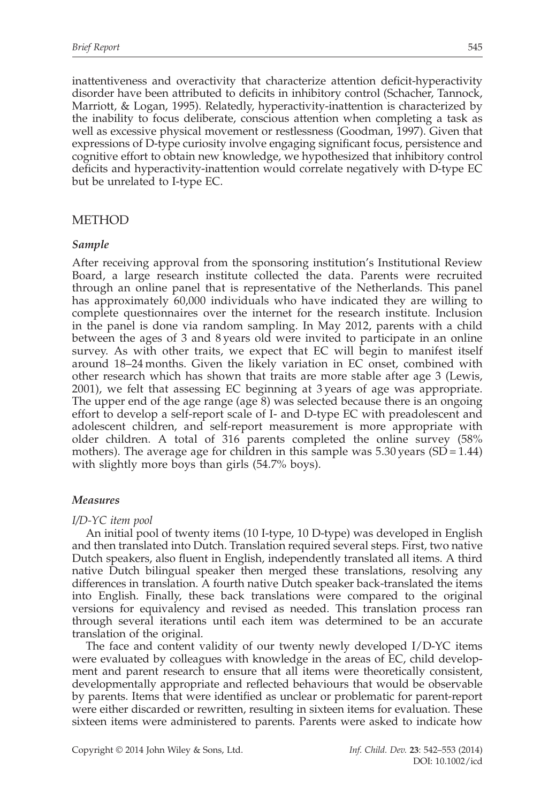inattentiveness and overactivity that characterize attention deficit-hyperactivity disorder have been attributed to deficits in inhibitory control (Schacher, Tannock, Marriott, & Logan, 1995). Relatedly, hyperactivity-inattention is characterized by the inability to focus deliberate, conscious attention when completing a task as well as excessive physical movement or restlessness (Goodman, 1997). Given that expressions of D-type curiosity involve engaging significant focus, persistence and cognitive effort to obtain new knowledge, we hypothesized that inhibitory control deficits and hyperactivity-inattention would correlate negatively with D-type EC but be unrelated to I-type EC.

# METHOD

#### Sample

After receiving approval from the sponsoring institution's Institutional Review Board, a large research institute collected the data. Parents were recruited through an online panel that is representative of the Netherlands. This panel has approximately 60,000 individuals who have indicated they are willing to complete questionnaires over the internet for the research institute. Inclusion in the panel is done via random sampling. In May 2012, parents with a child between the ages of 3 and 8 years old were invited to participate in an online survey. As with other traits, we expect that EC will begin to manifest itself around 18–24 months. Given the likely variation in EC onset, combined with other research which has shown that traits are more stable after age 3 (Lewis, 2001), we felt that assessing EC beginning at 3 years of age was appropriate. The upper end of the age range (age 8) was selected because there is an ongoing effort to develop a self-report scale of I- and D-type EC with preadolescent and adolescent children, and self-report measurement is more appropriate with older children. A total of 316 parents completed the online survey (58% mothers). The average age for children in this sample was  $5.30$  years (SD = 1.44) with slightly more boys than girls (54.7% boys).

# Measures

#### I/D-YC item pool

An initial pool of twenty items (10 I-type, 10 D-type) was developed in English and then translated into Dutch. Translation required several steps. First, two native Dutch speakers, also fluent in English, independently translated all items. A third native Dutch bilingual speaker then merged these translations, resolving any differences in translation. A fourth native Dutch speaker back-translated the items into English. Finally, these back translations were compared to the original versions for equivalency and revised as needed. This translation process ran through several iterations until each item was determined to be an accurate translation of the original.

The face and content validity of our twenty newly developed I/D-YC items were evaluated by colleagues with knowledge in the areas of EC, child development and parent research to ensure that all items were theoretically consistent, developmentally appropriate and reflected behaviours that would be observable by parents. Items that were identified as unclear or problematic for parent-report were either discarded or rewritten, resulting in sixteen items for evaluation. These sixteen items were administered to parents. Parents were asked to indicate how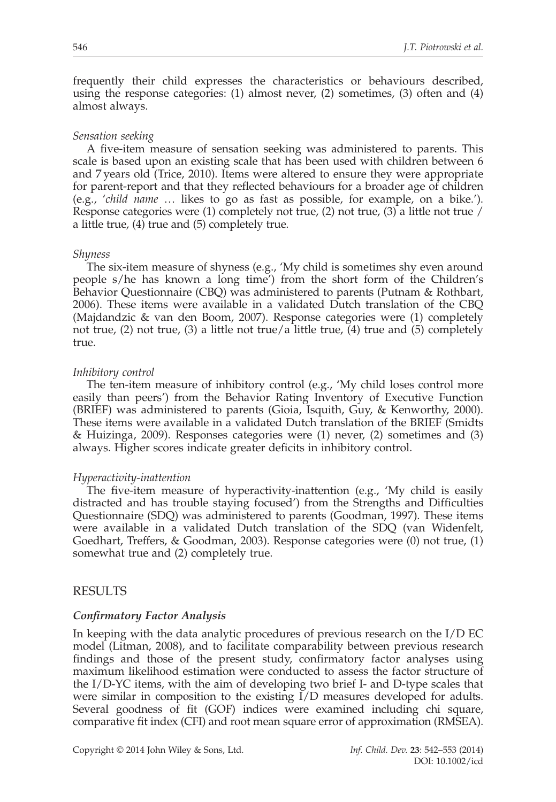frequently their child expresses the characteristics or behaviours described, using the response categories: (1) almost never, (2) sometimes, (3) often and (4) almost always.

#### Sensation seeking

A five-item measure of sensation seeking was administered to parents. This scale is based upon an existing scale that has been used with children between 6 and 7 years old (Trice, 2010). Items were altered to ensure they were appropriate for parent-report and that they reflected behaviours for a broader age of children (e.g., 'child name … likes to go as fast as possible, for example, on a bike.'). Response categories were (1) completely not true, (2) not true, (3) a little not true / a little true, (4) true and (5) completely true.

#### Shyness

The six-item measure of shyness (e.g., 'My child is sometimes shy even around people s/he has known a long time') from the short form of the Children's Behavior Questionnaire (CBQ) was administered to parents (Putnam & Rothbart, 2006). These items were available in a validated Dutch translation of the CBQ (Majdandzic & van den Boom, 2007). Response categories were (1) completely not true,  $(2)$  not true,  $(3)$  a little not true/a little true,  $(4)$  true and  $(5)$  completely true.

#### Inhibitory control

The ten-item measure of inhibitory control (e.g., 'My child loses control more easily than peers') from the Behavior Rating Inventory of Executive Function (BRIEF) was administered to parents (Gioia, Isquith, Guy, & Kenworthy, 2000). These items were available in a validated Dutch translation of the BRIEF (Smidts & Huizinga, 2009). Responses categories were (1) never, (2) sometimes and (3) always. Higher scores indicate greater deficits in inhibitory control.

#### Hyperactivity-inattention

The five-item measure of hyperactivity-inattention (e.g., 'My child is easily distracted and has trouble staying focused') from the Strengths and Difficulties Questionnaire (SDQ) was administered to parents (Goodman, 1997). These items were available in a validated Dutch translation of the SDQ (van Widenfelt, Goedhart, Treffers, & Goodman, 2003). Response categories were (0) not true, (1) somewhat true and (2) completely true.

# RESULTS

#### Confirmatory Factor Analysis

In keeping with the data analytic procedures of previous research on the I/D EC model (Litman, 2008), and to facilitate comparability between previous research findings and those of the present study, confirmatory factor analyses using maximum likelihood estimation were conducted to assess the factor structure of the I/D-YC items, with the aim of developing two brief I- and D-type scales that were similar in composition to the existing I/D measures developed for adults. Several goodness of fit (GOF) indices were examined including chi square, comparative fit index (CFI) and root mean square error of approximation (RMSEA).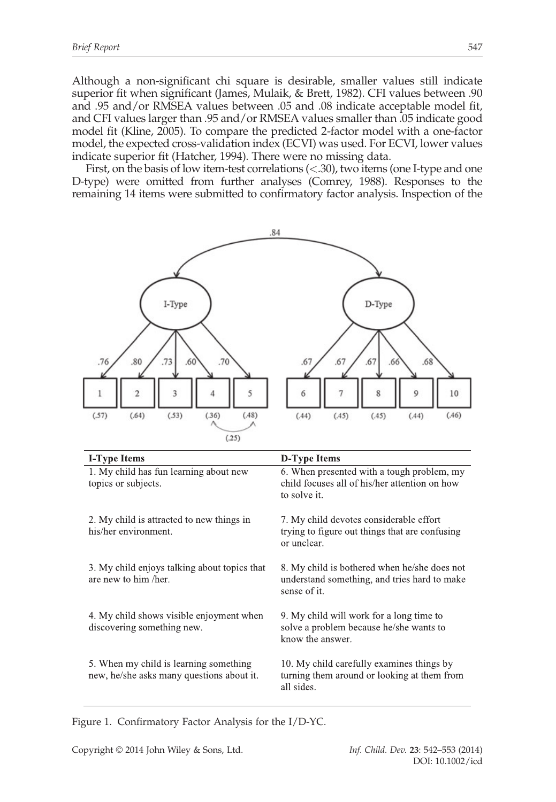Although a non-significant chi square is desirable, smaller values still indicate superior fit when significant (James, Mulaik, & Brett, 1982). CFI values between .90 and .95 and/or RMSEA values between .05 and .08 indicate acceptable model fit, and CFI values larger than .95 and/or RMSEA values smaller than .05 indicate good model fit (Kline, 2005). To compare the predicted 2-factor model with a one-factor model, the expected cross-validation index (ECVI) was used. For ECVI, lower values indicate superior fit (Hatcher, 1994). There were no missing data.

First, on the basis of low item-test correlations  $\langle \langle .30 \rangle$ , two items (one I-type and one D-type) were omitted from further analyses (Comrey, 1988). Responses to the remaining 14 items were submitted to confirmatory factor analysis. Inspection of the



| I-Type Items                                                                        | D-Type Items                                                                                                 |
|-------------------------------------------------------------------------------------|--------------------------------------------------------------------------------------------------------------|
| 1. My child has fun learning about new<br>topics or subjects.                       | 6. When presented with a tough problem, my<br>child focuses all of his/her attention on how<br>to solve it.  |
| 2. My child is attracted to new things in<br>his/her environment.                   | 7. My child devotes considerable effort<br>trying to figure out things that are confusing<br>or unclear.     |
| 3. My child enjoys talking about topics that<br>are new to him /her.                | 8. My child is bothered when he/she does not<br>understand something, and tries hard to make<br>sense of it. |
| 4. My child shows visible enjoyment when<br>discovering something new.              | 9. My child will work for a long time to<br>solve a problem because he/she wants to<br>know the answer.      |
| 5. When my child is learning something<br>new, he/she asks many questions about it. | 10. My child carefully examines things by<br>turning them around or looking at them from<br>all sides.       |

Figure 1. Confirmatory Factor Analysis for the I/D-YC.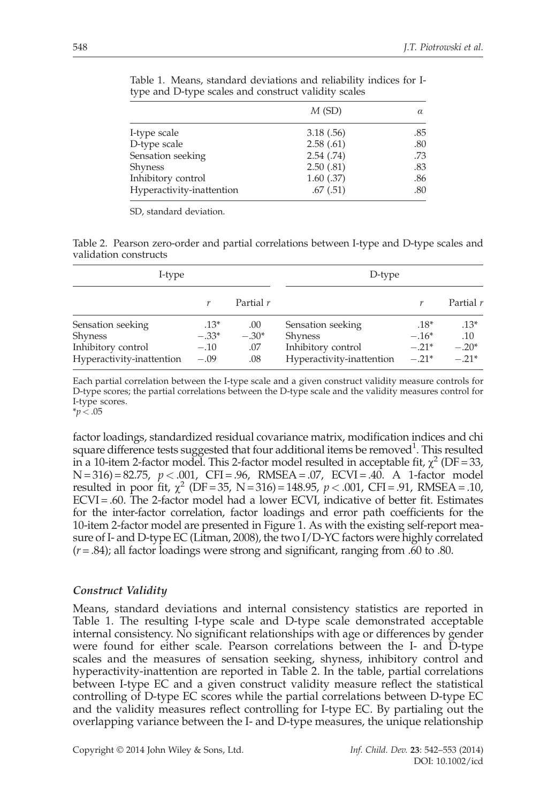|                           | M(SD)          | $\alpha$ |
|---------------------------|----------------|----------|
| I-type scale              | 3.18(.56)      | .85      |
| D-type scale              | 2.58(.61)      | .80      |
| Sensation seeking         | 2.54(.74)      | .73      |
| Shyness                   | 2.50(.81)      | .83      |
| Inhibitory control        | $1.60$ $(.37)$ | .86      |
| Hyperactivity-inattention | .67(.51)       | .80      |

Table 1. Means, standard deviations and reliability indices for Itype and D-type scales and construct validity scales

SD, standard deviation.

Table 2. Pearson zero-order and partial correlations between I-type and D-type scales and validation constructs

| I-type                                                                          |                                       |                              | D-type                                                                                 |                                         |                                     |  |
|---------------------------------------------------------------------------------|---------------------------------------|------------------------------|----------------------------------------------------------------------------------------|-----------------------------------------|-------------------------------------|--|
|                                                                                 |                                       | Partial r                    |                                                                                        |                                         | Partial r                           |  |
| Sensation seeking<br>Shyness<br>Inhibitory control<br>Hyperactivity-inattention | $.13*$<br>$-.33*$<br>$-.10$<br>$-.09$ | .00<br>$-.30*$<br>.07<br>.08 | Sensation seeking<br><b>Shyness</b><br>Inhibitory control<br>Hyperactivity-inattention | $.18*$<br>$-.16*$<br>$-.21*$<br>$-.21*$ | $.13*$<br>.10<br>$-.20*$<br>$-.21*$ |  |

Each partial correlation between the I-type scale and a given construct validity measure controls for D-type scores; the partial correlations between the D-type scale and the validity measures control for I-type scores.

 $*p < .05$ 

factor loadings, standardized residual covariance matrix, modification indices and chi square difference tests suggested that four additional items be removed<sup>1</sup>. This resulted in a 10-item 2-factor model. This 2-factor model resulted in acceptable fit,  $\chi^2$  (DF = 33,  $N = 316$  = 82.75,  $p < .001$ , CFI = .96, RMSEA = .07, ECVI = .40. A 1-factor model resulted in poor fit,  $\chi^2$  (DF = 35, N = 316) = 148.95, p < .001, CFI = .91, RMSEA = .10, ECVI = .60. The 2-factor model had a lower ECVI, indicative of better fit. Estimates for the inter-factor correlation, factor loadings and error path coefficients for the 10-item 2-factor model are presented in Figure 1. As with the existing self-report measure of I- and D-type EC (Litman, 2008), the two I/D-YC factors were highly correlated  $(r=.84)$ ; all factor loadings were strong and significant, ranging from .60 to .80.

# Construct Validity

Means, standard deviations and internal consistency statistics are reported in Table 1. The resulting I-type scale and D-type scale demonstrated acceptable internal consistency. No significant relationships with age or differences by gender were found for either scale. Pearson correlations between the I- and D-type scales and the measures of sensation seeking, shyness, inhibitory control and hyperactivity-inattention are reported in Table 2. In the table, partial correlations between I-type EC and a given construct validity measure reflect the statistical controlling of D-type EC scores while the partial correlations between D-type EC and the validity measures reflect controlling for I-type EC. By partialing out the overlapping variance between the I- and D-type measures, the unique relationship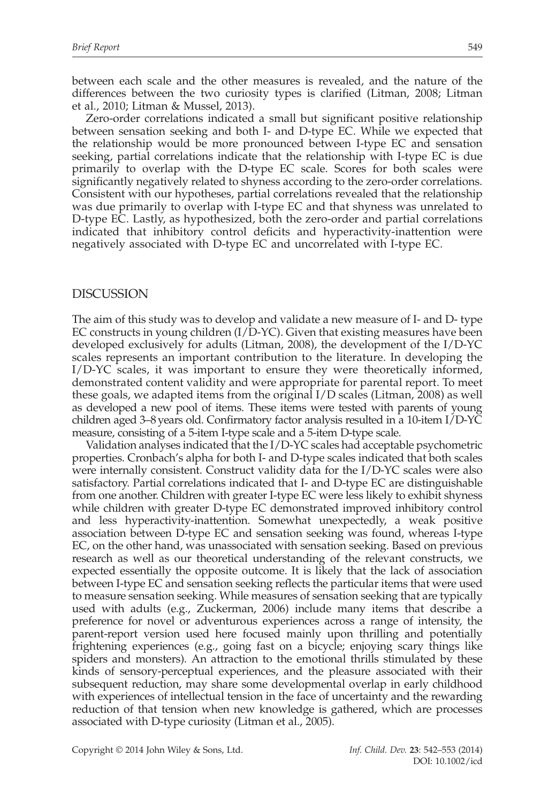between each scale and the other measures is revealed, and the nature of the differences between the two curiosity types is clarified (Litman, 2008; Litman et al., 2010; Litman & Mussel, 2013).

Zero-order correlations indicated a small but significant positive relationship between sensation seeking and both I- and D-type EC. While we expected that the relationship would be more pronounced between I-type EC and sensation seeking, partial correlations indicate that the relationship with I-type EC is due primarily to overlap with the D-type EC scale. Scores for both scales were significantly negatively related to shyness according to the zero-order correlations. Consistent with our hypotheses, partial correlations revealed that the relationship was due primarily to overlap with I-type EC and that shyness was unrelated to D-type EC. Lastly, as hypothesized, both the zero-order and partial correlations indicated that inhibitory control deficits and hyperactivity-inattention were negatively associated with D-type EC and uncorrelated with I-type EC.

#### DISCUSSION

The aim of this study was to develop and validate a new measure of I- and D- type EC constructs in young children  $(I/D$ -YC). Given that existing measures have been developed exclusively for adults (Litman, 2008), the development of the I/D-YC scales represents an important contribution to the literature. In developing the I/D-YC scales, it was important to ensure they were theoretically informed, demonstrated content validity and were appropriate for parental report. To meet these goals, we adapted items from the original I/D scales (Litman, 2008) as well as developed a new pool of items. These items were tested with parents of young children aged 3–8 years old. Confirmatory factor analysis resulted in a 10-item I/D-YC measure, consisting of a 5-item I-type scale and a 5-item D-type scale.

Validation analyses indicated that the I/D-YC scales had acceptable psychometric properties. Cronbach's alpha for both I- and D-type scales indicated that both scales were internally consistent. Construct validity data for the I/D-YC scales were also satisfactory. Partial correlations indicated that I- and D-type EC are distinguishable from one another. Children with greater I-type EC were less likely to exhibit shyness while children with greater D-type EC demonstrated improved inhibitory control and less hyperactivity-inattention. Somewhat unexpectedly, a weak positive association between D-type EC and sensation seeking was found, whereas I-type EC, on the other hand, was unassociated with sensation seeking. Based on previous research as well as our theoretical understanding of the relevant constructs, we expected essentially the opposite outcome. It is likely that the lack of association between I-type EC and sensation seeking reflects the particular items that were used to measure sensation seeking. While measures of sensation seeking that are typically used with adults (e.g., Zuckerman, 2006) include many items that describe a preference for novel or adventurous experiences across a range of intensity, the parent-report version used here focused mainly upon thrilling and potentially frightening experiences (e.g., going fast on a bicycle; enjoying scary things like spiders and monsters). An attraction to the emotional thrills stimulated by these kinds of sensory-perceptual experiences, and the pleasure associated with their subsequent reduction, may share some developmental overlap in early childhood with experiences of intellectual tension in the face of uncertainty and the rewarding reduction of that tension when new knowledge is gathered, which are processes associated with D-type curiosity (Litman et al., 2005).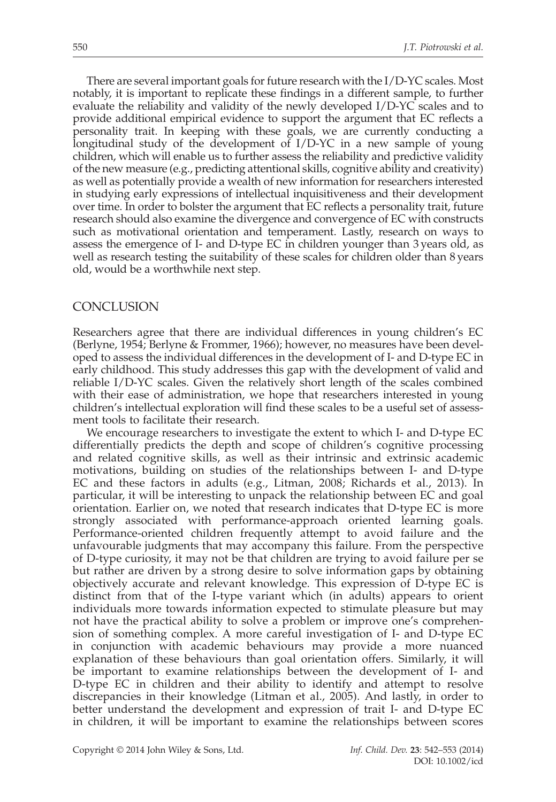There are several important goals for future research with the I/D-YC scales. Most notably, it is important to replicate these findings in a different sample, to further evaluate the reliability and validity of the newly developed I/D-YC scales and to provide additional empirical evidence to support the argument that EC reflects a personality trait. In keeping with these goals, we are currently conducting a longitudinal study of the development of I/D-YC in a new sample of young children, which will enable us to further assess the reliability and predictive validity of the new measure (e.g., predicting attentional skills, cognitive ability and creativity) as well as potentially provide a wealth of new information for researchers interested in studying early expressions of intellectual inquisitiveness and their development over time. In order to bolster the argument that EC reflects a personality trait, future research should also examine the divergence and convergence of EC with constructs such as motivational orientation and temperament. Lastly, research on ways to assess the emergence of I- and D-type EC in children younger than 3 years old, as well as research testing the suitability of these scales for children older than 8 years old, would be a worthwhile next step.

# **CONCLUSION**

Researchers agree that there are individual differences in young children's EC (Berlyne, 1954; Berlyne & Frommer, 1966); however, no measures have been developed to assess the individual differences in the development of I- and D-type EC in early childhood. This study addresses this gap with the development of valid and reliable I/D-YC scales. Given the relatively short length of the scales combined with their ease of administration, we hope that researchers interested in young children's intellectual exploration will find these scales to be a useful set of assessment tools to facilitate their research.

We encourage researchers to investigate the extent to which I- and D-type EC differentially predicts the depth and scope of children's cognitive processing and related cognitive skills, as well as their intrinsic and extrinsic academic motivations, building on studies of the relationships between I- and D-type EC and these factors in adults (e.g., Litman, 2008; Richards et al., 2013). In particular, it will be interesting to unpack the relationship between EC and goal orientation. Earlier on, we noted that research indicates that D-type EC is more strongly associated with performance-approach oriented learning goals. Performance-oriented children frequently attempt to avoid failure and the unfavourable judgments that may accompany this failure. From the perspective of D-type curiosity, it may not be that children are trying to avoid failure per se but rather are driven by a strong desire to solve information gaps by obtaining objectively accurate and relevant knowledge. This expression of D-type EC is distinct from that of the I-type variant which (in adults) appears to orient individuals more towards information expected to stimulate pleasure but may not have the practical ability to solve a problem or improve one's comprehension of something complex. A more careful investigation of I- and D-type EC in conjunction with academic behaviours may provide a more nuanced explanation of these behaviours than goal orientation offers. Similarly, it will be important to examine relationships between the development of I- and D-type EC in children and their ability to identify and attempt to resolve discrepancies in their knowledge (Litman et al., 2005). And lastly, in order to better understand the development and expression of trait I- and D-type EC in children, it will be important to examine the relationships between scores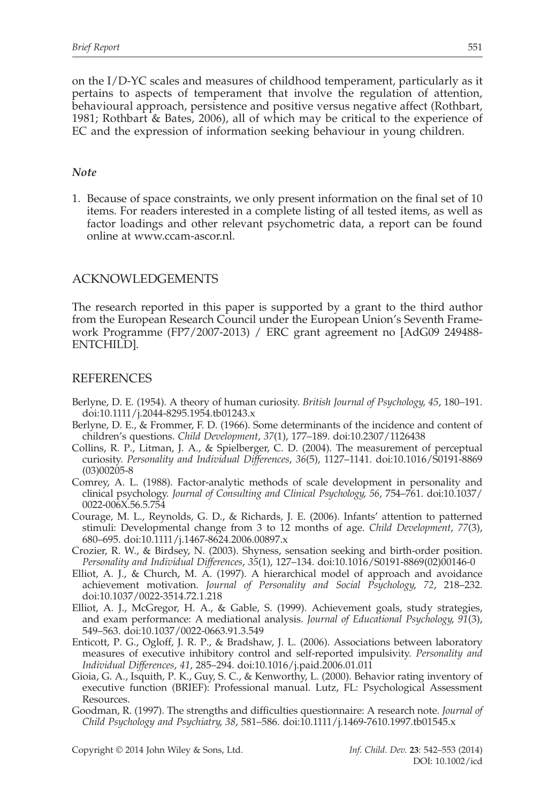on the I/D-YC scales and measures of childhood temperament, particularly as it pertains to aspects of temperament that involve the regulation of attention, behavioural approach, persistence and positive versus negative affect (Rothbart, 1981; Rothbart & Bates, 2006), all of which may be critical to the experience of EC and the expression of information seeking behaviour in young children.

# Note

1. Because of space constraints, we only present information on the final set of 10 items. For readers interested in a complete listing of all tested items, as well as factor loadings and other relevant psychometric data, a report can be found online at www.ccam-ascor.nl.

# ACKNOWLEDGEMENTS

The research reported in this paper is supported by a grant to the third author from the European Research Council under the European Union's Seventh Framework Programme (FP7/2007-2013) / ERC grant agreement no [AdG09 249488- ENTCHILD].

# REFERENCES

- Berlyne, D. E. (1954). A theory of human curiosity. British Journal of Psychology, 45, 180–191. doi:10.1111/j.2044-8295.1954.tb01243.x
- Berlyne, D. E., & Frommer, F. D. (1966). Some determinants of the incidence and content of children's questions. Child Development, 37(1), 177–189. doi:10.2307/1126438
- Collins, R. P., Litman, J. A., & Spielberger, C. D. (2004). The measurement of perceptual curiosity. Personality and Individual Differences, 36(5), 1127–1141. doi:10.1016/S0191-8869 (03)00205-8
- Comrey, A. L. (1988). Factor-analytic methods of scale development in personality and clinical psychology. Journal of Consulting and Clinical Psychology, 56, 754–761. doi:10.1037/ 0022-006X.56.5.754
- Courage, M. L., Reynolds, G. D., & Richards, J. E. (2006). Infants' attention to patterned stimuli: Developmental change from 3 to 12 months of age. Child Development, 77(3), 680–695. doi:10.1111/j.1467-8624.2006.00897.x
- Crozier, R. W., & Birdsey, N. (2003). Shyness, sensation seeking and birth-order position. Personality and Individual Differences, 35(1), 127–134. doi:10.1016/S0191-8869(02)00146-0
- Elliot, A. J., & Church, M. A. (1997). A hierarchical model of approach and avoidance achievement motivation. Journal of Personality and Social Psychology, 72, 218–232. doi:10.1037/0022-3514.72.1.218
- Elliot, A. J., McGregor, H. A., & Gable, S. (1999). Achievement goals, study strategies, and exam performance: A mediational analysis. Journal of Educational Psychology, 91(3), 549–563. doi:10.1037/0022-0663.91.3.549
- Enticott, P. G., Ogloff, J. R. P., & Bradshaw, J. L. (2006). Associations between laboratory measures of executive inhibitory control and self-reported impulsivity. Personality and Individual Differences, 41, 285–294. doi:10.1016/j.paid.2006.01.011
- Gioia, G. A., Isquith, P. K., Guy, S. C., & Kenworthy, L. (2000). Behavior rating inventory of executive function (BRIEF): Professional manual. Lutz, FL: Psychological Assessment Resources.
- Goodman, R. (1997). The strengths and difficulties questionnaire: A research note. Journal of Child Psychology and Psychiatry, 38, 581–586. doi:10.1111/j.1469-7610.1997.tb01545.x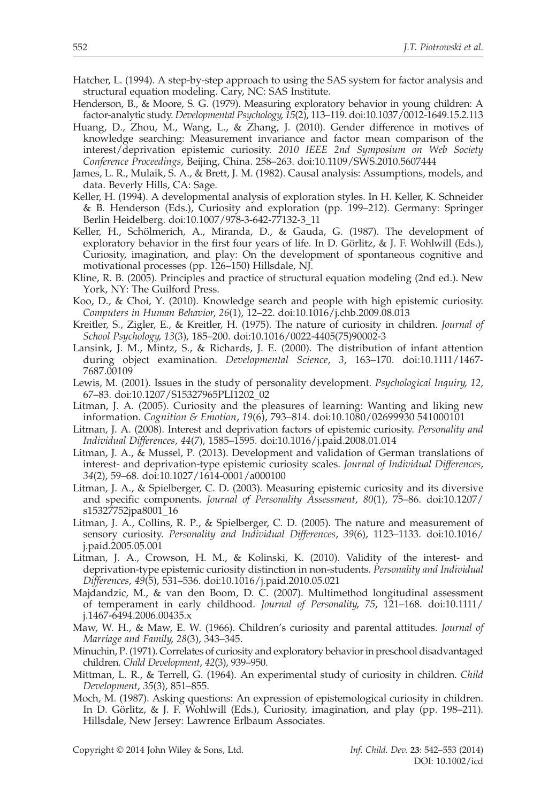- Hatcher, L. (1994). A step-by-step approach to using the SAS system for factor analysis and structural equation modeling. Cary, NC: SAS Institute.
- Henderson, B., & Moore, S. G. (1979). Measuring exploratory behavior in young children: A factor-analytic study. Developmental Psychology, 15(2), 113–119. doi:10.1037/0012-1649.15.2.113
- Huang, D., Zhou, M., Wang, L., & Zhang, J. (2010). Gender difference in motives of knowledge searching: Measurement invariance and factor mean comparison of the interest/deprivation epistemic curiosity. 2010 IEEE 2nd Symposium on Web Society Conference Proceedings, Beijing, China. 258–263. doi:10.1109/SWS.2010.5607444
- James, L. R., Mulaik, S. A., & Brett, J. M. (1982). Causal analysis: Assumptions, models, and data. Beverly Hills, CA: Sage.
- Keller, H. (1994). A developmental analysis of exploration styles. In H. Keller, K. Schneider & B. Henderson (Eds.), Curiosity and exploration (pp. 199–212). Germany: Springer Berlin Heidelberg. doi:10.1007/978-3-642-77132-3\_11
- Keller, H., Schölmerich, A., Miranda, D., & Gauda, G. (1987). The development of exploratory behavior in the first four years of life. In D. Görlitz, & J. F. Wohlwill (Eds.), Curiosity, imagination, and play: On the development of spontaneous cognitive and motivational processes (pp. 126–150) Hillsdale, NJ.
- Kline, R. B. (2005). Principles and practice of structural equation modeling (2nd ed.). New York, NY: The Guilford Press.
- Koo, D., & Choi, Y. (2010). Knowledge search and people with high epistemic curiosity. Computers in Human Behavior, 26(1), 12–22. doi:10.1016/j.chb.2009.08.013
- Kreitler, S., Zigler, E., & Kreitler, H. (1975). The nature of curiosity in children. Journal of School Psychology, 13(3), 185–200. doi:10.1016/0022-4405(75)90002-3
- Lansink, J. M., Mintz, S., & Richards, J. E. (2000). The distribution of infant attention during object examination. Developmental Science, 3, 163–170. doi:10.1111/1467- 7687.00109
- Lewis, M. (2001). Issues in the study of personality development. Psychological Inquiry, 12, 67–83. doi:10.1207/S15327965PLI1202\_02
- Litman, J. A. (2005). Curiosity and the pleasures of learning: Wanting and liking new information. Cognition & Emotion, 19(6), 793–814. doi:10.1080/02699930 541000101
- Litman, J. A. (2008). Interest and deprivation factors of epistemic curiosity. Personality and Individual Differences, 44(7), 1585–1595. doi:10.1016/j.paid.2008.01.014
- Litman, J. A., & Mussel, P. (2013). Development and validation of German translations of interest- and deprivation-type epistemic curiosity scales. Journal of Individual Differences, 34(2), 59–68. doi:10.1027/1614-0001/a000100
- Litman, J. A., & Spielberger, C. D. (2003). Measuring epistemic curiosity and its diversive and specific components. Journal of Personality Assessment, 80(1), 75–86. doi:10.1207/ s15327752jpa8001\_16
- Litman, J. A., Collins, R. P., & Spielberger, C. D. (2005). The nature and measurement of sensory curiosity. Personality and Individual Differences, 39(6), 1123–1133. doi:10.1016/ j.paid.2005.05.001
- Litman, J. A., Crowson, H. M., & Kolinski, K. (2010). Validity of the interest- and deprivation-type epistemic curiosity distinction in non-students. Personality and Individual Differences, 49(5), 531–536. doi:10.1016/j.paid.2010.05.021
- Majdandzic, M., & van den Boom, D. C. (2007). Multimethod longitudinal assessment of temperament in early childhood. Journal of Personality, 75, 121–168. doi:10.1111/ j.1467-6494.2006.00435.x
- Maw, W. H., & Maw, E. W. (1966). Children's curiosity and parental attitudes. Journal of Marriage and Family, 28(3), 343–345.
- Minuchin, P. (1971). Correlates of curiosity and exploratory behavior in preschool disadvantaged children. Child Development, 42(3), 939–950.
- Mittman, L. R., & Terrell, G. (1964). An experimental study of curiosity in children. Child Development, 35(3), 851–855.
- Moch, M. (1987). Asking questions: An expression of epistemological curiosity in children. In D. Görlitz, & J. F. Wohlwill (Eds.), Curiosity, imagination, and play (pp. 198–211). Hillsdale, New Jersey: Lawrence Erlbaum Associates.